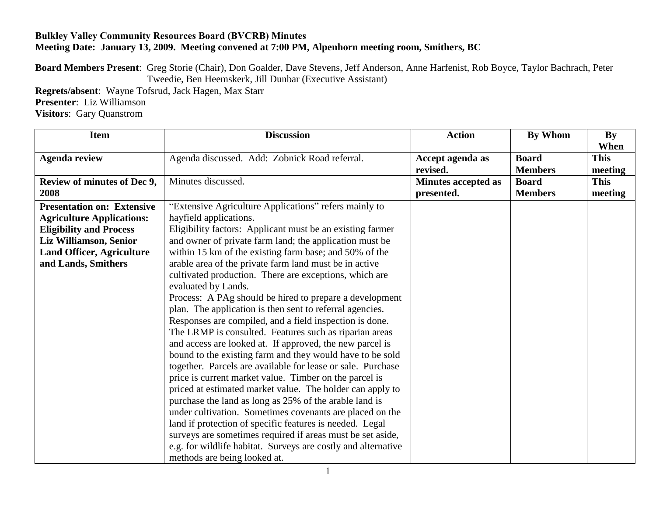## **Bulkley Valley Community Resources Board (BVCRB) Minutes Meeting Date: January 13, 2009. Meeting convened at 7:00 PM, Alpenhorn meeting room, Smithers, BC**

**Board Members Present**: Greg Storie (Chair), Don Goalder, Dave Stevens, Jeff Anderson, Anne Harfenist, Rob Boyce, Taylor Bachrach, Peter Tweedie, Ben Heemskerk, Jill Dunbar (Executive Assistant)

**Regrets/absent**: Wayne Tofsrud, Jack Hagen, Max Starr **Presenter**: Liz Williamson

**Visitors**: Gary Quanstrom

| <b>Item</b>                       | <b>Discussion</b>                                             | <b>Action</b>              | By Whom        | <b>By</b><br>When |
|-----------------------------------|---------------------------------------------------------------|----------------------------|----------------|-------------------|
| <b>Agenda review</b>              | Agenda discussed. Add: Zobnick Road referral.                 | Accept agenda as           | <b>Board</b>   | <b>This</b>       |
|                                   |                                                               | revised.                   | <b>Members</b> | meeting           |
| Review of minutes of Dec 9,       | Minutes discussed.                                            | <b>Minutes accepted as</b> | <b>Board</b>   | <b>This</b>       |
| 2008                              |                                                               | presented.                 | <b>Members</b> | meeting           |
| <b>Presentation on: Extensive</b> | "Extensive Agriculture Applications" refers mainly to         |                            |                |                   |
| <b>Agriculture Applications:</b>  | hayfield applications.                                        |                            |                |                   |
| <b>Eligibility and Process</b>    | Eligibility factors: Applicant must be an existing farmer     |                            |                |                   |
| Liz Williamson, Senior            | and owner of private farm land; the application must be       |                            |                |                   |
| <b>Land Officer, Agriculture</b>  | within 15 km of the existing farm base; and 50% of the        |                            |                |                   |
| and Lands, Smithers               | arable area of the private farm land must be in active        |                            |                |                   |
|                                   | cultivated production. There are exceptions, which are        |                            |                |                   |
|                                   | evaluated by Lands.                                           |                            |                |                   |
|                                   | Process: A PAg should be hired to prepare a development       |                            |                |                   |
|                                   | plan. The application is then sent to referral agencies.      |                            |                |                   |
|                                   | Responses are compiled, and a field inspection is done.       |                            |                |                   |
|                                   | The LRMP is consulted. Features such as riparian areas        |                            |                |                   |
|                                   | and access are looked at. If approved, the new parcel is      |                            |                |                   |
|                                   | bound to the existing farm and they would have to be sold     |                            |                |                   |
|                                   | together. Parcels are available for lease or sale. Purchase   |                            |                |                   |
|                                   | price is current market value. Timber on the parcel is        |                            |                |                   |
|                                   | priced at estimated market value. The holder can apply to     |                            |                |                   |
|                                   | purchase the land as long as 25% of the arable land is        |                            |                |                   |
|                                   | under cultivation. Sometimes covenants are placed on the      |                            |                |                   |
|                                   | land if protection of specific features is needed. Legal      |                            |                |                   |
|                                   | surveys are sometimes required if areas must be set aside,    |                            |                |                   |
|                                   | e.g. for wildlife habitat. Surveys are costly and alternative |                            |                |                   |
|                                   | methods are being looked at.                                  |                            |                |                   |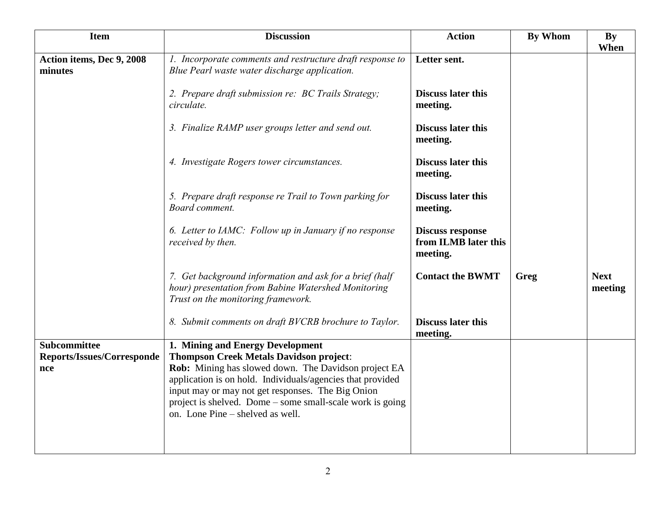| <b>Item</b>                          | <b>Discussion</b>                                                                                                                                    | <b>Action</b>                                               | <b>By Whom</b> | By<br>When             |
|--------------------------------------|------------------------------------------------------------------------------------------------------------------------------------------------------|-------------------------------------------------------------|----------------|------------------------|
| Action items, Dec 9, 2008<br>minutes | 1. Incorporate comments and restructure draft response to<br>Blue Pearl waste water discharge application.                                           | Letter sent.                                                |                |                        |
|                                      | 2. Prepare draft submission re: BC Trails Strategy;<br>circulate.                                                                                    | <b>Discuss later this</b><br>meeting.                       |                |                        |
|                                      | 3. Finalize RAMP user groups letter and send out.                                                                                                    | <b>Discuss later this</b><br>meeting.                       |                |                        |
|                                      | 4. Investigate Rogers tower circumstances.                                                                                                           | <b>Discuss later this</b><br>meeting.                       |                |                        |
|                                      | 5. Prepare draft response re Trail to Town parking for<br>Board comment.                                                                             | <b>Discuss later this</b><br>meeting.                       |                |                        |
|                                      | 6. Letter to IAMC: Follow up in January if no response<br>received by then.                                                                          | <b>Discuss response</b><br>from ILMB later this<br>meeting. |                |                        |
|                                      | 7. Get background information and ask for a brief (half<br>hour) presentation from Babine Watershed Monitoring<br>Trust on the monitoring framework. | <b>Contact the BWMT</b>                                     | Greg           | <b>Next</b><br>meeting |
|                                      | 8. Submit comments on draft BVCRB brochure to Taylor.                                                                                                | <b>Discuss later this</b><br>meeting.                       |                |                        |
| <b>Subcommittee</b>                  | 1. Mining and Energy Development                                                                                                                     |                                                             |                |                        |
| <b>Reports/Issues/Corresponde</b>    | <b>Thompson Creek Metals Davidson project:</b>                                                                                                       |                                                             |                |                        |
| nce                                  | Rob: Mining has slowed down. The Davidson project EA<br>application is on hold. Individuals/agencies that provided                                   |                                                             |                |                        |
|                                      | input may or may not get responses. The Big Onion                                                                                                    |                                                             |                |                        |
|                                      | project is shelved. Dome – some small-scale work is going                                                                                            |                                                             |                |                        |
|                                      | on. Lone Pine – shelved as well.                                                                                                                     |                                                             |                |                        |
|                                      |                                                                                                                                                      |                                                             |                |                        |
|                                      |                                                                                                                                                      |                                                             |                |                        |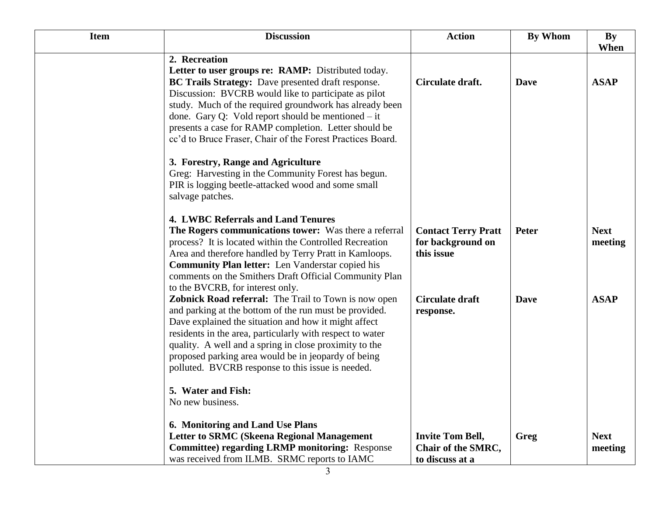| <b>Item</b> | <b>Discussion</b>                                                                                                                                                                                                                                                                                                                                                                                                           | <b>Action</b>                                                    | <b>By Whom</b> | By                     |
|-------------|-----------------------------------------------------------------------------------------------------------------------------------------------------------------------------------------------------------------------------------------------------------------------------------------------------------------------------------------------------------------------------------------------------------------------------|------------------------------------------------------------------|----------------|------------------------|
|             |                                                                                                                                                                                                                                                                                                                                                                                                                             |                                                                  |                | When                   |
|             | 2. Recreation<br>Letter to user groups re: RAMP: Distributed today.<br>BC Trails Strategy: Dave presented draft response.<br>Discussion: BVCRB would like to participate as pilot<br>study. Much of the required groundwork has already been<br>done. Gary Q: Vold report should be mentioned $-$ it<br>presents a case for RAMP completion. Letter should be<br>cc'd to Bruce Fraser, Chair of the Forest Practices Board. | Circulate draft.                                                 | <b>Dave</b>    | <b>ASAP</b>            |
|             | 3. Forestry, Range and Agriculture<br>Greg: Harvesting in the Community Forest has begun.<br>PIR is logging beetle-attacked wood and some small<br>salvage patches.                                                                                                                                                                                                                                                         |                                                                  |                |                        |
|             | 4. LWBC Referrals and Land Tenures<br>The Rogers communications tower: Was there a referral<br>process? It is located within the Controlled Recreation<br>Area and therefore handled by Terry Pratt in Kamloops.<br><b>Community Plan letter:</b> Len Vanderstar copied his<br>comments on the Smithers Draft Official Community Plan<br>to the BVCRB, for interest only.                                                   | <b>Contact Terry Pratt</b><br>for background on<br>this issue    | <b>Peter</b>   | <b>Next</b><br>meeting |
|             | <b>Zobnick Road referral:</b> The Trail to Town is now open<br>and parking at the bottom of the run must be provided.<br>Dave explained the situation and how it might affect<br>residents in the area, particularly with respect to water<br>quality. A well and a spring in close proximity to the<br>proposed parking area would be in jeopardy of being<br>polluted. BVCRB response to this issue is needed.            | <b>Circulate draft</b><br>response.                              | <b>Dave</b>    | <b>ASAP</b>            |
|             | 5. Water and Fish:<br>No new business.                                                                                                                                                                                                                                                                                                                                                                                      |                                                                  |                |                        |
|             | 6. Monitoring and Land Use Plans<br><b>Letter to SRMC (Skeena Regional Management</b><br><b>Committee) regarding LRMP monitoring: Response</b><br>was received from ILMB. SRMC reports to IAMC                                                                                                                                                                                                                              | <b>Invite Tom Bell,</b><br>Chair of the SMRC,<br>to discuss at a | Greg           | <b>Next</b><br>meeting |